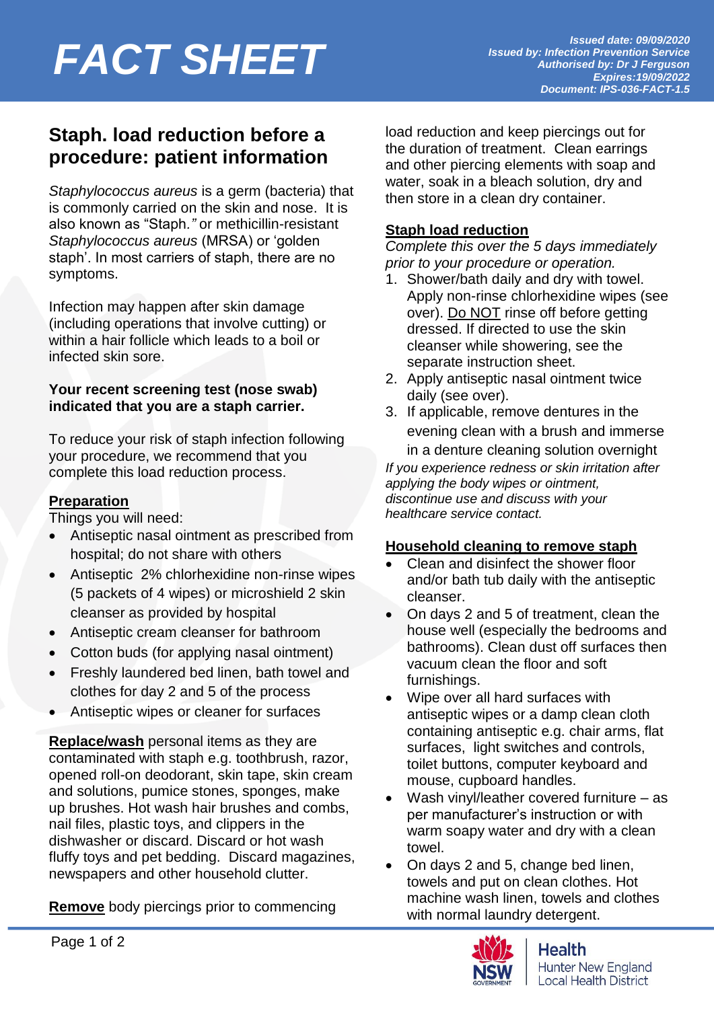# *Issued date: 09/09/2020*<br>*Issued by: Infection Prevention Service*<br>Authorised by: Dr J Ferguson

### **Staph. load reduction before a procedure: patient information**

*Staphylococcus aureus* is a germ (bacteria) that is commonly carried on the skin and nose. It is also known as "Staph*."* or methicillin-resistant *Staphylococcus aureus* (MRSA) or 'golden staph'. In most carriers of staph, there are no symptoms.

Infection may happen after skin damage (including operations that involve cutting) or within a hair follicle which leads to a boil or infected skin sore.

#### **Your recent screening test (nose swab) indicated that you are a staph carrier.**

To reduce your risk of staph infection following your procedure, we recommend that you complete this load reduction process.

#### **Preparation**

Things you will need:

- Antiseptic nasal ointment as prescribed from hospital; do not share with others
- Antiseptic 2% chlorhexidine non-rinse wipes (5 packets of 4 wipes) or microshield 2 skin cleanser as provided by hospital
- Antiseptic cream cleanser for bathroom
- Cotton buds (for applying nasal ointment)
- Freshly laundered bed linen, bath towel and clothes for day 2 and 5 of the process
- Antiseptic wipes or cleaner for surfaces

**Replace/wash** personal items as they are contaminated with staph e.g. toothbrush, razor, opened roll-on deodorant, skin tape, skin cream and solutions, pumice stones, sponges, make up brushes. Hot wash hair brushes and combs, nail files, plastic toys, and clippers in the dishwasher or discard. Discard or hot wash fluffy toys and pet bedding. Discard magazines, newspapers and other household clutter.

**Remove** body piercings prior to commencing

load reduction and keep piercings out for the duration of treatment. Clean earrings and other piercing elements with soap and water, soak in a bleach solution, dry and then store in a clean dry container.

#### **Staph load reduction**

*Complete this over the 5 days immediately prior to your procedure or operation.* 

- 1. Shower/bath daily and dry with towel. Apply non-rinse chlorhexidine wipes (see over). Do NOT rinse off before getting dressed. If directed to use the skin cleanser while showering, see the separate instruction sheet.
- 2. Apply antiseptic nasal ointment twice daily (see over).
- 3. If applicable, remove dentures in the evening clean with a brush and immerse in a denture cleaning solution overnight *If you experience redness or skin irritation after applying the body wipes or ointment, discontinue use and discuss with your healthcare service contact.*

#### **Household cleaning to remove staph**

- Clean and disinfect the shower floor and/or bath tub daily with the antiseptic cleanser.
- On days 2 and 5 of treatment, clean the house well (especially the bedrooms and bathrooms). Clean dust off surfaces then vacuum clean the floor and soft furnishings.
- Wipe over all hard surfaces with antiseptic wipes or a damp clean cloth containing antiseptic e.g. chair arms, flat surfaces, light switches and controls, toilet buttons, computer keyboard and mouse, cupboard handles.
- Wash vinyl/leather covered furniture as per manufacturer's instruction or with warm soapy water and dry with a clean towel.
- On days 2 and 5, change bed linen, towels and put on clean clothes. Hot machine wash linen, towels and clothes with normal laundry detergent.